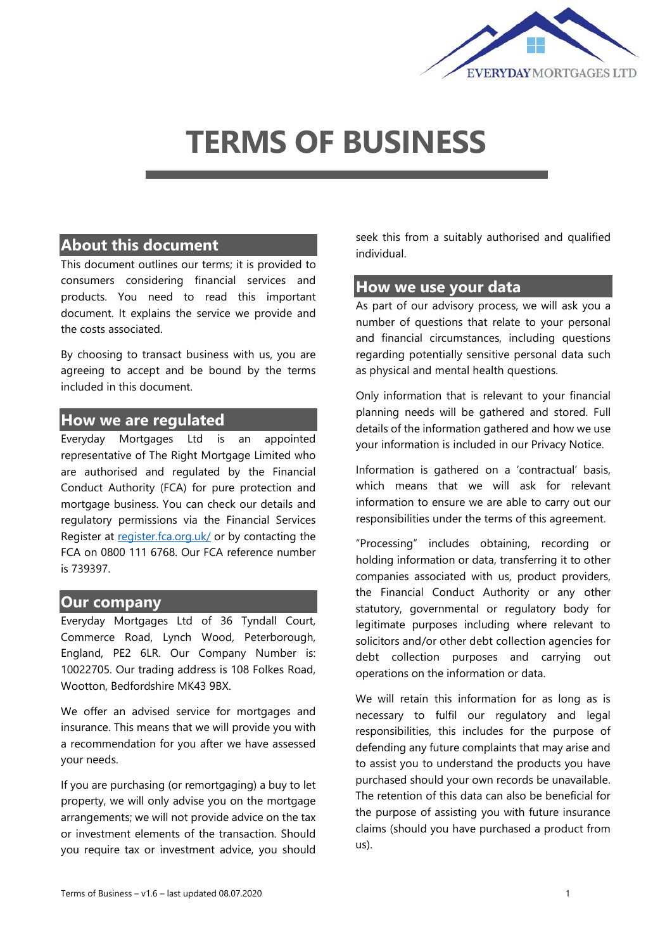

# **TERMS OF BUSINESS**

## **About this document**

This document outlines our terms; it is provided to consumers considering financial services and products. You need to read this important document. It explains the service we provide and the costs associated.

By choosing to transact business with us, you are agreeing to accept and be bound by the terms included in this document.

#### **How we are regulated**

Everyday Mortgages Ltd is an appointed representative of The Right Mortgage Limited who are authorised and regulated by the Financial Conduct Authority (FCA) for pure protection and mortgage business. You can check our details and regulatory permissions via the Financial Services Register at [register.fca.org.uk/](https://register.fca.org.uk/) or by contacting the FCA on 0800 111 6768. Our FCA reference number is 739397.

#### **Our company**

Everyday Mortgages Ltd of 36 Tyndall Court, Commerce Road, Lynch Wood, Peterborough, England, PE2 6LR. Our Company Number is: 10022705. Our trading address is 108 Folkes Road, Wootton, Bedfordshire MK43 9BX.

We offer an advised service for mortgages and insurance. This means that we will provide you with a recommendation for you after we have assessed your needs.

If you are purchasing (or remortgaging) a buy to let property, we will only advise you on the mortgage arrangements; we will not provide advice on the tax or investment elements of the transaction. Should you require tax or investment advice, you should

seek this from a suitably authorised and qualified individual.

#### **How we use your data**

As part of our advisory process, we will ask you a number of questions that relate to your personal and financial circumstances, including questions regarding potentially sensitive personal data such as physical and mental health questions.

Only information that is relevant to your financial planning needs will be gathered and stored. Full details of the information gathered and how we use your information is included in our Privacy Notice.

Information is gathered on a 'contractual' basis, which means that we will ask for relevant information to ensure we are able to carry out our responsibilities under the terms of this agreement.

"Processing" includes obtaining, recording or holding information or data, transferring it to other companies associated with us, product providers, the Financial Conduct Authority or any other statutory, governmental or regulatory body for legitimate purposes including where relevant to solicitors and/or other debt collection agencies for debt collection purposes and carrying out operations on the information or data.

We will retain this information for as long as is necessary to fulfil our regulatory and legal responsibilities, this includes for the purpose of defending any future complaints that may arise and to assist you to understand the products you have purchased should your own records be unavailable. The retention of this data can also be beneficial for the purpose of assisting you with future insurance claims (should you have purchased a product from us).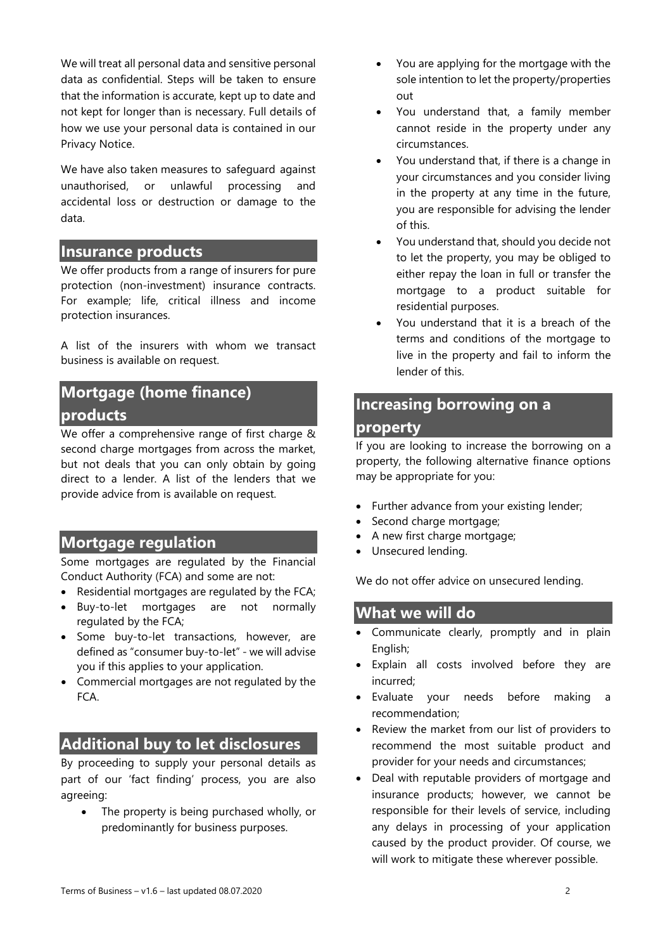We will treat all personal data and sensitive personal data as confidential. Steps will be taken to ensure that the information is accurate, kept up to date and not kept for longer than is necessary. Full details of how we use your personal data is contained in our Privacy Notice.

We have also taken measures to safeguard against unauthorised, or unlawful processing and accidental loss or destruction or damage to the data.

## **Insurance products**

We offer products from a range of insurers for pure protection (non-investment) insurance contracts. For example; life, critical illness and income protection insurances.

A list of the insurers with whom we transact business is available on request.

## **Mortgage (home finance) products**

We offer a comprehensive range of first charge & second charge mortgages from across the market, but not deals that you can only obtain by going direct to a lender. A list of the lenders that we provide advice from is available on request.

## **Mortgage regulation**

Some mortgages are regulated by the Financial Conduct Authority (FCA) and some are not:

- Residential mortgages are regulated by the FCA;
- Buy-to-let mortgages are not normally regulated by the FCA;
- Some buy-to-let transactions, however, are defined as "consumer buy-to-let" - we will advise you if this applies to your application.
- Commercial mortgages are not regulated by the FCA.

## **Additional buy to let disclosures**

By proceeding to supply your personal details as part of our 'fact finding' process, you are also agreeing:

• The property is being purchased wholly, or predominantly for business purposes.

- You are applying for the mortgage with the sole intention to let the property/properties out
- You understand that, a family member cannot reside in the property under any circumstances.
- You understand that, if there is a change in your circumstances and you consider living in the property at any time in the future, you are responsible for advising the lender of this.
- You understand that, should you decide not to let the property, you may be obliged to either repay the loan in full or transfer the mortgage to a product suitable for residential purposes.
- You understand that it is a breach of the terms and conditions of the mortgage to live in the property and fail to inform the lender of this.

## **Increasing borrowing on a**

#### **property**

If you are looking to increase the borrowing on a property, the following alternative finance options may be appropriate for you:

- Further advance from your existing lender;
- Second charge mortgage;
- A new first charge mortgage;
- Unsecured lending.

We do not offer advice on unsecured lending.

## **What we will do**

- Communicate clearly, promptly and in plain English;
- Explain all costs involved before they are incurred;
- Evaluate your needs before making a recommendation;
- Review the market from our list of providers to recommend the most suitable product and provider for your needs and circumstances;
- Deal with reputable providers of mortgage and insurance products; however, we cannot be responsible for their levels of service, including any delays in processing of your application caused by the product provider. Of course, we will work to mitigate these wherever possible.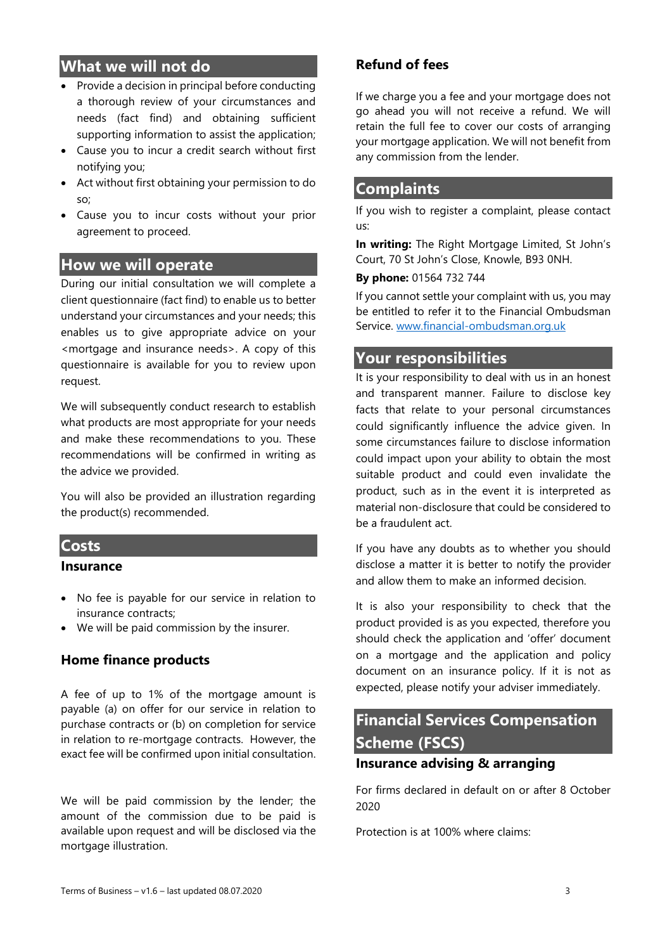## **What we will not do**

- Provide a decision in principal before conducting a thorough review of your circumstances and needs (fact find) and obtaining sufficient supporting information to assist the application;
- Cause you to incur a credit search without first notifying you;
- Act without first obtaining your permission to do so;
- Cause you to incur costs without your prior agreement to proceed.

#### **How we will operate**

During our initial consultation we will complete a client questionnaire (fact find) to enable us to better understand your circumstances and your needs; this enables us to give appropriate advice on your <mortgage and insurance needs>. A copy of this questionnaire is available for you to review upon request.

We will subsequently conduct research to establish what products are most appropriate for your needs and make these recommendations to you. These recommendations will be confirmed in writing as the advice we provided.

You will also be provided an illustration regarding the product(s) recommended.

#### **Costs**

#### **Insurance**

- No fee is payable for our service in relation to insurance contracts;
- We will be paid commission by the insurer.

#### **Home finance products**

A fee of up to 1% of the mortgage amount is payable (a) on offer for our service in relation to purchase contracts or (b) on completion for service in relation to re-mortgage contracts. However, the exact fee will be confirmed upon initial consultation.

We will be paid commission by the lender; the amount of the commission due to be paid is available upon request and will be disclosed via the mortgage illustration.

#### **Refund of fees**

If we charge you a fee and your mortgage does not go ahead you will not receive a refund. We will retain the full fee to cover our costs of arranging your mortgage application. We will not benefit from any commission from the lender.

## **Complaints**

If you wish to register a complaint, please contact us:

**In writing:** The Right Mortgage Limited, St John's Court, 70 St John's Close, Knowle, B93 0NH.

**By phone:** 01564 732 744

If you cannot settle your complaint with us, you may be entitled to refer it to the Financial Ombudsman Service. [www.financial-ombudsman.org.uk](http://www.financial-ombudsman.org.uk/)

## **Your responsibilities**

It is your responsibility to deal with us in an honest and transparent manner. Failure to disclose key facts that relate to your personal circumstances could significantly influence the advice given. In some circumstances failure to disclose information could impact upon your ability to obtain the most suitable product and could even invalidate the product, such as in the event it is interpreted as material non-disclosure that could be considered to be a fraudulent act.

If you have any doubts as to whether you should disclose a matter it is better to notify the provider and allow them to make an informed decision.

It is also your responsibility to check that the product provided is as you expected, therefore you should check the application and 'offer' document on a mortgage and the application and policy document on an insurance policy. If it is not as expected, please notify your adviser immediately.

# **Financial Services Compensation Scheme (FSCS)**

# **Insurance advising & arranging**

For firms declared in default on or after 8 October 2020

Protection is at 100% where claims: